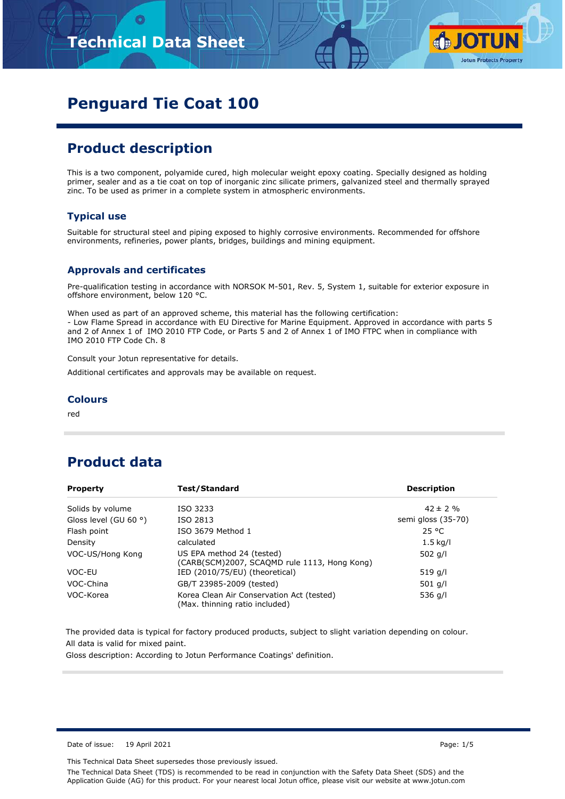

# **Penguard Tie Coat 100**

## **Product description**

This is a two component, polyamide cured, high molecular weight epoxy coating. Specially designed as holding primer, sealer and as a tie coat on top of inorganic zinc silicate primers, galvanized steel and thermally sprayed zinc. To be used as primer in a complete system in atmospheric environments.

#### **Typical use**

Suitable for structural steel and piping exposed to highly corrosive environments. Recommended for offshore environments, refineries, power plants, bridges, buildings and mining equipment.

#### **Approvals and certificates**

Pre-qualification testing in accordance with NORSOK M-501, Rev. 5, System 1, suitable for exterior exposure in offshore environment, below 120 °C.

When used as part of an approved scheme, this material has the following certification: - Low Flame Spread in accordance with EU Directive for Marine Equipment. Approved in accordance with parts 5 and 2 of Annex 1 of IMO 2010 FTP Code, or Parts 5 and 2 of Annex 1 of IMO FTPC when in compliance with IMO 2010 FTP Code Ch. 8

Consult your Jotun representative for details.

Additional certificates and approvals may be available on request.

#### **Colours**

red

## **Product data**

| <b>Property</b>                | <b>Test/Standard</b>                                                        | <b>Description</b> |
|--------------------------------|-----------------------------------------------------------------------------|--------------------|
| Solids by volume               | ISO 3233                                                                    | $42 \pm 2 \%$      |
| Gloss level (GU 60 $\degree$ ) | ISO 2813                                                                    | semi gloss (35-70) |
| Flash point                    | ISO 3679 Method 1                                                           | 25 °C              |
| Density                        | calculated                                                                  | $1.5$ kg/l         |
| VOC-US/Hong Kong               | US EPA method 24 (tested)<br>(CARB(SCM)2007, SCAQMD rule 1113, Hong Kong)   | 502 $q/l$          |
| VOC-EU                         | IED (2010/75/EU) (theoretical)                                              | 519 g/l            |
| VOC-China                      | GB/T 23985-2009 (tested)                                                    | 501 g/l            |
| VOC-Korea                      | Korea Clean Air Conservation Act (tested)<br>(Max. thinning ratio included) | 536 g/l            |

The provided data is typical for factory produced products, subject to slight variation depending on colour. All data is valid for mixed paint.

Gloss description: According to Jotun Performance Coatings' definition.

Date of issue: 19 April 2021 **Page: 1/5** 

This Technical Data Sheet supersedes those previously issued.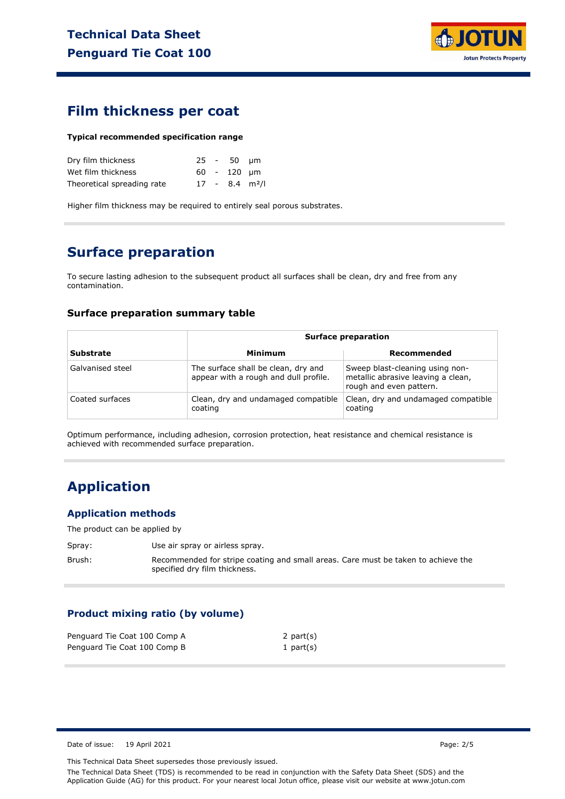

### **Film thickness per coat**

#### **Typical recommended specification range**

| Dry film thickness         |  | $25 - 50$ um  |                              |
|----------------------------|--|---------------|------------------------------|
| Wet film thickness         |  | $60 - 120$ um |                              |
| Theoretical spreading rate |  |               | $17 - 8.4$ m <sup>2</sup> /l |

Higher film thickness may be required to entirely seal porous substrates.

## **Surface preparation**

To secure lasting adhesion to the subsequent product all surfaces shall be clean, dry and free from any contamination.

#### **Surface preparation summary table**

|                  | <b>Surface preparation</b>                                                   |                                                                                                  |  |
|------------------|------------------------------------------------------------------------------|--------------------------------------------------------------------------------------------------|--|
| <b>Substrate</b> | Minimum                                                                      | Recommended                                                                                      |  |
| Galvanised steel | The surface shall be clean, dry and<br>appear with a rough and dull profile. | Sweep blast-cleaning using non-<br>metallic abrasive leaving a clean,<br>rough and even pattern. |  |
| Coated surfaces  | Clean, dry and undamaged compatible<br>coating                               | Clean, dry and undamaged compatible<br>coating                                                   |  |

Optimum performance, including adhesion, corrosion protection, heat resistance and chemical resistance is achieved with recommended surface preparation.

### **Application**

#### **Application methods**

The product can be applied by

- Spray: Use air spray or airless spray.
- Brush: Recommended for stripe coating and small areas. Care must be taken to achieve the specified dry film thickness.

#### **Product mixing ratio (by volume)**

| Penguard Tie Coat 100 Comp A | 2 part $(s)$ |
|------------------------------|--------------|
| Penguard Tie Coat 100 Comp B | 1 part $(s)$ |

Date of issue: 19 April 2021 Page: 2/5

This Technical Data Sheet supersedes those previously issued.

The Technical Data Sheet (TDS) is recommended to be read in conjunction with the Safety Data Sheet (SDS) and the Application Guide (AG) for this product. For your nearest local Jotun office, please visit our website at www.jotun.com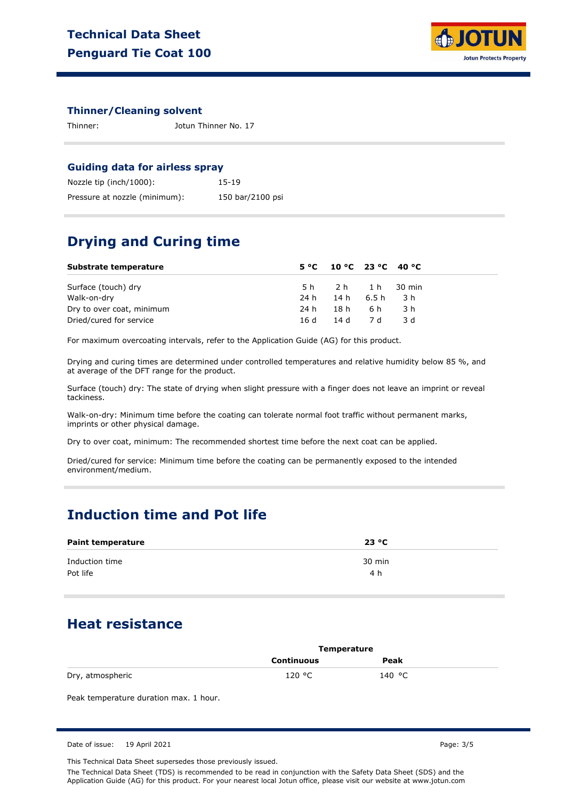

#### **Thinner/Cleaning solvent**

Thinner: Jotun Thinner No. 17

#### **Guiding data for airless spray**

| Nozzle tip (inch/1000):       | 15-19            |
|-------------------------------|------------------|
| Pressure at nozzle (minimum): | 150 bar/2100 psi |

### **Drying and Curing time**

| Substrate temperature     |      | $5^{\circ}$ C 10 °C 23 °C 40 °C |       |
|---------------------------|------|---------------------------------|-------|
| Surface (touch) dry       |      | 5h 2h 1h 30 min                 |       |
| Walk-on-dry               |      | 24h 14h 6.5h 3h                 |       |
| Dry to over coat, minimum | 24 h | 18h 6h                          | - 3 h |
| Dried/cured for service   | 16 d | 14 d 7 d                        | - 3 d |

For maximum overcoating intervals, refer to the Application Guide (AG) for this product.

Drying and curing times are determined under controlled temperatures and relative humidity below 85 %, and at average of the DFT range for the product.

Surface (touch) dry: The state of drying when slight pressure with a finger does not leave an imprint or reveal tackiness.

Walk-on-dry: Minimum time before the coating can tolerate normal foot traffic without permanent marks, imprints or other physical damage.

Dry to over coat, minimum: The recommended shortest time before the next coat can be applied.

Dried/cured for service: Minimum time before the coating can be permanently exposed to the intended environment/medium.

## **Induction time and Pot life**

| <b>Paint temperature</b>   | 23 °C         |  |
|----------------------------|---------------|--|
| Induction time<br>Pot life | 30 min<br>4 h |  |

### **Heat resistance**

|                  | Temperature       |        |  |
|------------------|-------------------|--------|--|
|                  | <b>Continuous</b> | Peak   |  |
| Dry, atmospheric | 120 °C            | 140 °C |  |

Peak temperature duration max. 1 hour.

This Technical Data Sheet supersedes those previously issued.

The Technical Data Sheet (TDS) is recommended to be read in conjunction with the Safety Data Sheet (SDS) and the Application Guide (AG) for this product. For your nearest local Jotun office, please visit our website at www.jotun.com

Date of issue: 19 April 2021 **Page: 3/5**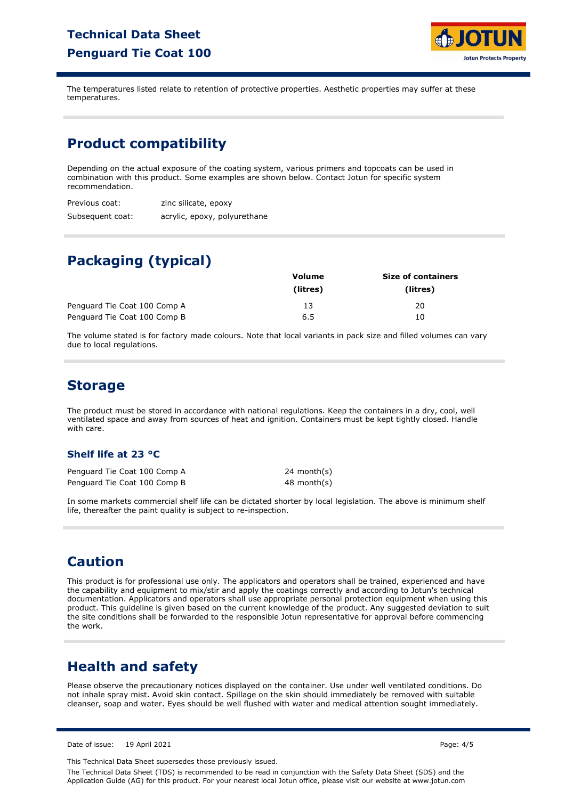## **Technical Data Sheet Penguard Tie Coat 100**



The temperatures listed relate to retention of protective properties. Aesthetic properties may suffer at these temperatures.

## **Product compatibility**

Depending on the actual exposure of the coating system, various primers and topcoats can be used in combination with this product. Some examples are shown below. Contact Jotun for specific system recommendation.

| Previous coat:   | zinc silicate, epoxy         |
|------------------|------------------------------|
| Subsequent coat: | acrylic, epoxy, polyurethane |

# **Packaging (typical)**

|                              | Volume   | <b>Size of containers</b> |
|------------------------------|----------|---------------------------|
|                              | (litres) | (litres)                  |
| Penguard Tie Coat 100 Comp A | 13       | 20                        |
| Penguard Tie Coat 100 Comp B | 6.5      | 10                        |

The volume stated is for factory made colours. Note that local variants in pack size and filled volumes can vary due to local regulations.

## **Storage**

The product must be stored in accordance with national regulations. Keep the containers in a dry, cool, well ventilated space and away from sources of heat and ignition. Containers must be kept tightly closed. Handle with care.

#### **Shelf life at 23 °C**

Penguard Tie Coat 100 Comp A Penguard Tie Coat 100 Comp B 24 month(s) 48 month(s)

In some markets commercial shelf life can be dictated shorter by local legislation. The above is minimum shelf life, thereafter the paint quality is subject to re-inspection.

## **Caution**

This product is for professional use only. The applicators and operators shall be trained, experienced and have the capability and equipment to mix/stir and apply the coatings correctly and according to Jotun's technical documentation. Applicators and operators shall use appropriate personal protection equipment when using this product. This guideline is given based on the current knowledge of the product. Any suggested deviation to suit the site conditions shall be forwarded to the responsible Jotun representative for approval before commencing the work.

# **Health and safety**

Please observe the precautionary notices displayed on the container. Use under well ventilated conditions. Do not inhale spray mist. Avoid skin contact. Spillage on the skin should immediately be removed with suitable cleanser, soap and water. Eyes should be well flushed with water and medical attention sought immediately.

Date of issue: 19 April 2021 **Page: 4/5** 

This Technical Data Sheet supersedes those previously issued.

The Technical Data Sheet (TDS) is recommended to be read in conjunction with the Safety Data Sheet (SDS) and the Application Guide (AG) for this product. For your nearest local Jotun office, please visit our website at www.jotun.com